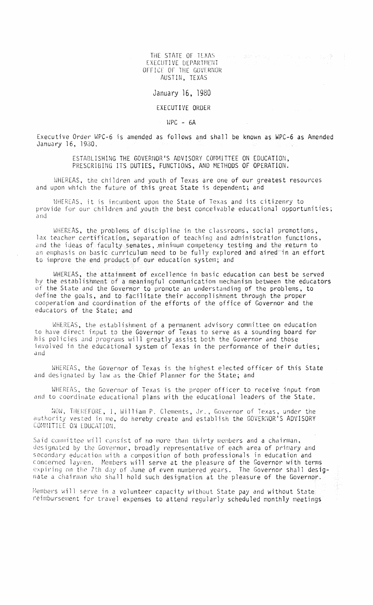THE STATE OF TEXAS EXECUTIVE DEPARTMENT OFFICE OF THE GOVERNOR AUSTIN, TEXAS

## January 16, 1980

## EXECUTI VE ORDER

 $MPC - 6A$ 

Executive Order WPC-6 is amended as follows and shall be known as WPC-6 as Amended January 16, 1930.

> ESTABLISHING THE GOVERNOR'S ADVISORY COMMITTEE ON EDUCATION, PRESCRIBING ITS DUTIES, FUNCTIONS, AND HETHODS OF OPERATION.

WHEREAS, the children and youth of Texas are one of our greatest resources and upon which the future of this great State is dependent; and

WHEREAS, it is incumbent upon the State of Texas and its citizenry to provide for our children and youth the best conceivable educational opportunities; and

WHEREAS, lax teacher nd the ideas of faculty senates, minimum competency testing and the return to an emphasis on basic curriculum need to be fully explored and aired in an effort to improve the end product of our education system; and discipline in the classrooms, social promotions, of teaching and administration functions,

WHEREAS, the attainment of excellence in basic education can best be served by the establishment of a meaningful communication mechanism between the educators of the State and the Governor to promote an understanding of the problems, to define the goals, and to facilitate their accomplishment through the proper cooperation and coordination of the efforts of the office of Governor and the educators of the State; and

WHEREAS, the establishment of a permanent advisory committee on education to have direct input to the Governor of Texas to serve as a sounding board for his policies and programs will greatly assist both the Governor and those involved in the educational system of Texas in the performance of their duties; and

WHEREAS, the Governor of Texas is the highest elected officer of this State and designated by law as the Chief Planner for the State; and

WHEREAS, the Governor of Texas is the proper officer to receive input from and to coordinate educational plans with the educational leaders of the State.

NOW, THEREFORE, I, William P. Clements, Jr., Governor of Texas, under the authority vested in me, do hereby create and establish the GOVERNOR'S ADVISORY COMMITTEE ON EDUCATION.

Said committee will consist of no more than thirty members and a chairman, designated by the Governor, broadly representative of each area of primary and secondary education with a composition of both professionals in education and concerned laymen. Members will serve at the pleasure of the Governor with terms expiring on the 7th day of June of even numbered years. The Governor shall designate a chairman who shall hold such designation at the pleasure of the Governor.

Members will serve in a volunteer capacity without State pay and without State reimbursement for travel expenses to attend regularly scheduled monthly meetings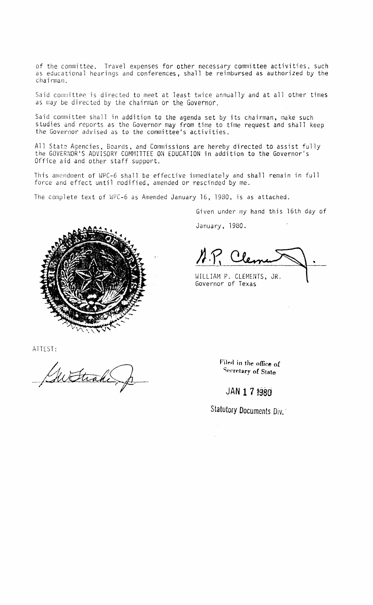of the committee. Travel expenses for other necessary committee activities, such as educational hearings and conferences, shall be reimbursed as authorized by the chairman.

Said committee is directed to meet at least twice annually and at all other times as may be directed by the chairman or the Governor.

Said committee shall in addition to the agenda set by its chairman, make such studies and reports as the Governor may from time to time request and shall keep the Governor advised as to the committee's activities.

All Stat2 Agencies, Boards, and Commissions are hereby directed to assist fully the GOVERNOR'S ADVISORY COMMITTEE ON EDUCATION in addition to the Governor's Office aid and other staff support.

This amendment of WPC-6 shall be effective immediately and shall remain in full force and effect until modified, amended or rescinded by me.

The complete text of WPC-6 as Amended January 16, 1980, is as attached.

Given under my hand this 16th day of

January, 1980.

A.P. Cle

WILLIAM P. CLEMENTS, JR. Governor of Texas



ATTEST:

Filed in the office of<br>Secretary of State

**Secretary of Slate**

# **JAN 1 7 t980**

**Statutory Documents Div.** 

 $\bar{\beta}$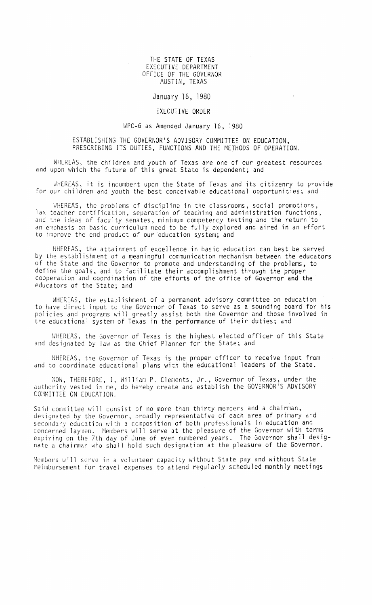#### THE STATE OF TEXAS EXECUTIVE DEPARTMENT OFFICE OF THE GOVERNOR AUSTIN, TEXAS

#### January 16, 1980

### EXECUTIVE ORDER

#### WPC-6 as Amended January 16, 1980

#### ESTABLISHING THE GOVERNOR'S ADVISORY COMMITTEE ON EDUCATION, PRESCRIBING ITS DUTIES, FUNCTIONS AND THE METHODS OF OPERATION.

WHEREAS, the children and youth of Texas are one of our greatest resources and upon which the future of this great State is dependent; and

WHEREAS, it is incumbent upon the State of Texas and its citizenry to provide for our children and youth the best conceivable educational opportunities; and

WHEREAS, the problems of discipline in the classrooms, social promotions, lax teacher certification, separation of teaching and administration functions, and the ideas of faculty senates, minimum competency testing and the return 'to an emphasis on basic curriculum need to be fully explored and aired in an effort to improve the end product of our education system; and

WHEREAS, the attainment of excellence in basic education can best be served by the establishment of a meaningful communication mechanism between the educators of the State and the Governor to promote and understanding of the problems, to define the goals, and to facilitate their accomplishment through the proper cooperation and coordination of the efforts of the office of Governor and the educators of the State; and

WHEREAS, the establishment of a permanent advisory committee on education to have direct input to the Governor of Texas to serve as a sounding board for his policies and programs will greatly assist both the Governor and those involved ir the educational system of Texas in the performance of their duties; and

WHEREAS, the Governor of Texas is the highest elected officer of this State and designated by law as the Chief Planner for the State; and

WHEREAS, the Governor of Texas is the proper officer to receive input from and to coordinate educational plans with the educational leaders of the State.

NOW, THEREFORE, I, William P. Clements, Jr., Governor of Texas, under the authority vested in me, do hereby create and establish the GOVERNOR'S ADVISORY COMMITTEE ON EDUCATION.

Said committee will consist of no more than thirty members and a chairman, designated by the Governor, broadly representative of each area of primary and secondary education with a composition of both professionals in education and concerned laymen. Hembers will serve at the pleasure of the Governor with terms expiring on the 7th day of June of even numbered years. The Governor shall designate a chairman who shall hold such designation at the pleasure of the Governor.

Members will serve in a volunteer capacity without State pay and without State reimbursement for travel expenses to attend regularly scheduled monthly meetings